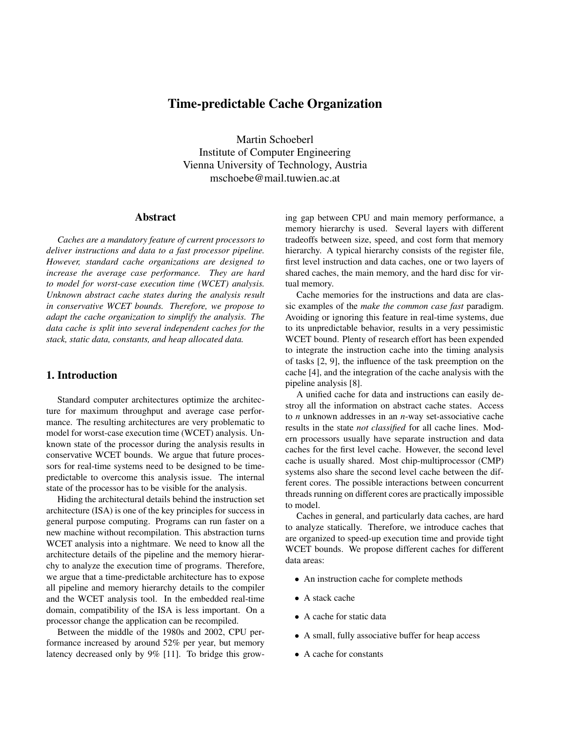# Time-predictable Cache Organization

Martin Schoeberl Institute of Computer Engineering Vienna University of Technology, Austria mschoebe@mail.tuwien.ac.at

#### Abstract

*Caches are a mandatory feature of current processors to deliver instructions and data to a fast processor pipeline. However, standard cache organizations are designed to increase the average case performance. They are hard to model for worst-case execution time (WCET) analysis. Unknown abstract cache states during the analysis result in conservative WCET bounds. Therefore, we propose to adapt the cache organization to simplify the analysis. The data cache is split into several independent caches for the stack, static data, constants, and heap allocated data.*

## 1. Introduction

Standard computer architectures optimize the architecture for maximum throughput and average case performance. The resulting architectures are very problematic to model for worst-case execution time (WCET) analysis. Unknown state of the processor during the analysis results in conservative WCET bounds. We argue that future processors for real-time systems need to be designed to be timepredictable to overcome this analysis issue. The internal state of the processor has to be visible for the analysis.

Hiding the architectural details behind the instruction set architecture (ISA) is one of the key principles for success in general purpose computing. Programs can run faster on a new machine without recompilation. This abstraction turns WCET analysis into a nightmare. We need to know all the architecture details of the pipeline and the memory hierarchy to analyze the execution time of programs. Therefore, we argue that a time-predictable architecture has to expose all pipeline and memory hierarchy details to the compiler and the WCET analysis tool. In the embedded real-time domain, compatibility of the ISA is less important. On a processor change the application can be recompiled.

Between the middle of the 1980s and 2002, CPU performance increased by around 52% per year, but memory latency decreased only by 9% [11]. To bridge this growing gap between CPU and main memory performance, a memory hierarchy is used. Several layers with different tradeoffs between size, speed, and cost form that memory hierarchy. A typical hierarchy consists of the register file, first level instruction and data caches, one or two layers of shared caches, the main memory, and the hard disc for virtual memory.

Cache memories for the instructions and data are classic examples of the *make the common case fast* paradigm. Avoiding or ignoring this feature in real-time systems, due to its unpredictable behavior, results in a very pessimistic WCET bound. Plenty of research effort has been expended to integrate the instruction cache into the timing analysis of tasks [2, 9], the influence of the task preemption on the cache [4], and the integration of the cache analysis with the pipeline analysis [8].

A unified cache for data and instructions can easily destroy all the information on abstract cache states. Access to *n* unknown addresses in an *n*-way set-associative cache results in the state *not classified* for all cache lines. Modern processors usually have separate instruction and data caches for the first level cache. However, the second level cache is usually shared. Most chip-multiprocessor (CMP) systems also share the second level cache between the different cores. The possible interactions between concurrent threads running on different cores are practically impossible to model.

Caches in general, and particularly data caches, are hard to analyze statically. Therefore, we introduce caches that are organized to speed-up execution time and provide tight WCET bounds. We propose different caches for different data areas:

- An instruction cache for complete methods
- A stack cache
- A cache for static data
- A small, fully associative buffer for heap access
- A cache for constants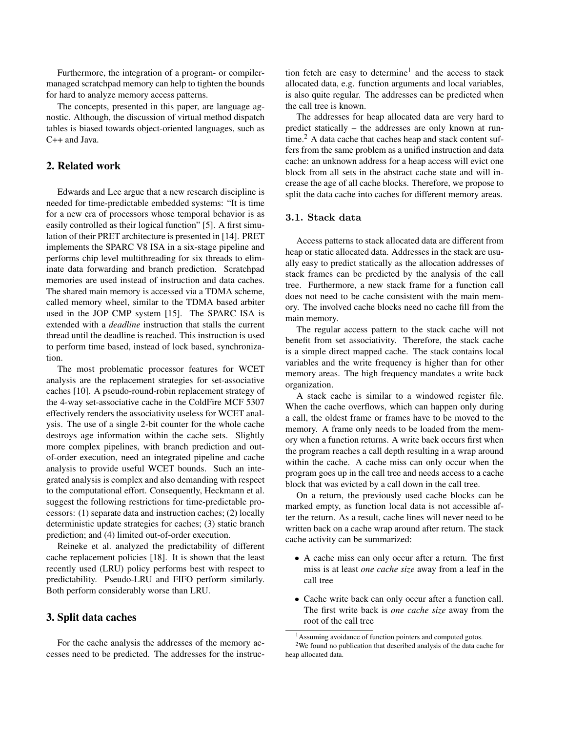Furthermore, the integration of a program- or compilermanaged scratchpad memory can help to tighten the bounds for hard to analyze memory access patterns.

The concepts, presented in this paper, are language agnostic. Although, the discussion of virtual method dispatch tables is biased towards object-oriented languages, such as C++ and Java.

## 2. Related work

Edwards and Lee argue that a new research discipline is needed for time-predictable embedded systems: "It is time for a new era of processors whose temporal behavior is as easily controlled as their logical function" [5]. A first simulation of their PRET architecture is presented in [14]. PRET implements the SPARC V8 ISA in a six-stage pipeline and performs chip level multithreading for six threads to eliminate data forwarding and branch prediction. Scratchpad memories are used instead of instruction and data caches. The shared main memory is accessed via a TDMA scheme, called memory wheel, similar to the TDMA based arbiter used in the JOP CMP system [15]. The SPARC ISA is extended with a *deadline* instruction that stalls the current thread until the deadline is reached. This instruction is used to perform time based, instead of lock based, synchronization.

The most problematic processor features for WCET analysis are the replacement strategies for set-associative caches [10]. A pseudo-round-robin replacement strategy of the 4-way set-associative cache in the ColdFire MCF 5307 effectively renders the associativity useless for WCET analysis. The use of a single 2-bit counter for the whole cache destroys age information within the cache sets. Slightly more complex pipelines, with branch prediction and outof-order execution, need an integrated pipeline and cache analysis to provide useful WCET bounds. Such an integrated analysis is complex and also demanding with respect to the computational effort. Consequently, Heckmann et al. suggest the following restrictions for time-predictable processors: (1) separate data and instruction caches; (2) locally deterministic update strategies for caches; (3) static branch prediction; and (4) limited out-of-order execution.

Reineke et al. analyzed the predictability of different cache replacement policies [18]. It is shown that the least recently used (LRU) policy performs best with respect to predictability. Pseudo-LRU and FIFO perform similarly. Both perform considerably worse than LRU.

## 3. Split data caches

For the cache analysis the addresses of the memory accesses need to be predicted. The addresses for the instruc-

tion fetch are easy to determine<sup>1</sup> and the access to stack allocated data, e.g. function arguments and local variables, is also quite regular. The addresses can be predicted when the call tree is known.

The addresses for heap allocated data are very hard to predict statically – the addresses are only known at run $time<sup>2</sup>$  A data cache that caches heap and stack content suffers from the same problem as a unified instruction and data cache: an unknown address for a heap access will evict one block from all sets in the abstract cache state and will increase the age of all cache blocks. Therefore, we propose to split the data cache into caches for different memory areas.

#### 3.1. Stack data

Access patterns to stack allocated data are different from heap or static allocated data. Addresses in the stack are usually easy to predict statically as the allocation addresses of stack frames can be predicted by the analysis of the call tree. Furthermore, a new stack frame for a function call does not need to be cache consistent with the main memory. The involved cache blocks need no cache fill from the main memory.

The regular access pattern to the stack cache will not benefit from set associativity. Therefore, the stack cache is a simple direct mapped cache. The stack contains local variables and the write frequency is higher than for other memory areas. The high frequency mandates a write back organization.

A stack cache is similar to a windowed register file. When the cache overflows, which can happen only during a call, the oldest frame or frames have to be moved to the memory. A frame only needs to be loaded from the memory when a function returns. A write back occurs first when the program reaches a call depth resulting in a wrap around within the cache. A cache miss can only occur when the program goes up in the call tree and needs access to a cache block that was evicted by a call down in the call tree.

On a return, the previously used cache blocks can be marked empty, as function local data is not accessible after the return. As a result, cache lines will never need to be written back on a cache wrap around after return. The stack cache activity can be summarized:

- A cache miss can only occur after a return. The first miss is at least *one cache size* away from a leaf in the call tree
- Cache write back can only occur after a function call. The first write back is *one cache size* away from the root of the call tree

<sup>&</sup>lt;sup>1</sup>Assuming avoidance of function pointers and computed gotos.

<sup>2</sup>We found no publication that described analysis of the data cache for heap allocated data.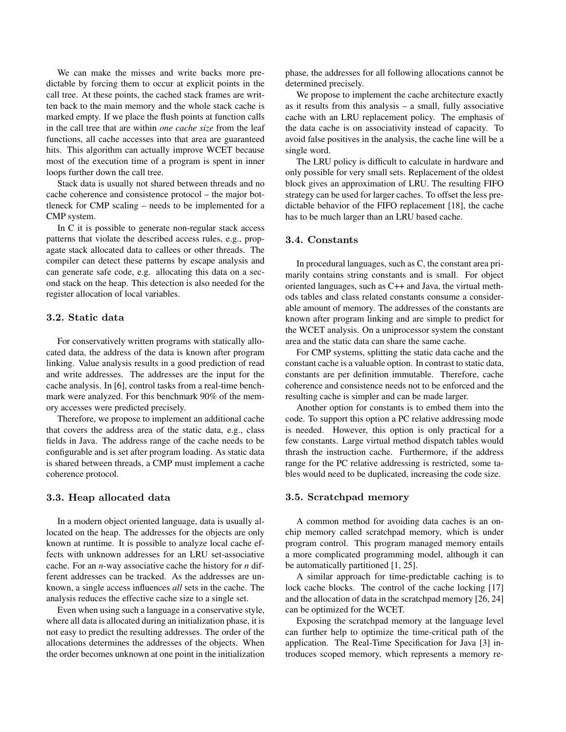We can make the misses and write backs more predictable by forcing them to occur at explicit points in the call tree. At these points, the cached stack frames are written back to the main memory and the whole stack cache is marked empty. If we place the flush points at function calls in the call tree that are within *one cache size* from the leaf functions, all cache accesses into that area are guaranteed hits. This algorithm can actually improve WCET because most of the execution time of a program is spent in inner loops further down the call tree.

Stack data is usually not shared between threads and no cache coherence and consistence protocol – the major bottleneck for CMP scaling – needs to be implemented for a CMP system.

In C it is possible to generate non-regular stack access patterns that violate the described access rules, e.g., propagate stack allocated data to callees or other threads. The compiler can detect these patterns by escape analysis and can generate safe code, e.g. allocating this data on a second stack on the heap. This detection is also needed for the register allocation of local variables.

## 3.2. Static data

For conservatively written programs with statically allocated data, the address of the data is known after program linking. Value analysis results in a good prediction of read and write addresses. The addresses are the input for the cache analysis. In [6], control tasks from a real-time benchmark were analyzed. For this benchmark 90% of the memory accesses were predicted precisely.

Therefore, we propose to implement an additional cache that covers the address area of the static data, e.g., class fields in Java. The address range of the cache needs to be configurable and is set after program loading. As static data is shared between threads, a CMP must implement a cache coherence protocol.

#### 3.3. Heap allocated data

In a modern object oriented language, data is usually allocated on the heap. The addresses for the objects are only known at runtime. It is possible to analyze local cache effects with unknown addresses for an LRU set-associative cache. For an *n*-way associative cache the history for *n* different addresses can be tracked. As the addresses are unknown, a single access influences *all* sets in the cache. The analysis reduces the effective cache size to a single set.

Even when using such a language in a conservative style, where all data is allocated during an initialization phase, it is not easy to predict the resulting addresses. The order of the allocations determines the addresses of the objects. When the order becomes unknown at one point in the initialization phase, the addresses for all following allocations cannot be determined precisely.

We propose to implement the cache architecture exactly as it results from this analysis – a small, fully associative cache with an LRU replacement policy. The emphasis of the data cache is on associativity instead of capacity. To avoid false positives in the analysis, the cache line will be a single word.

The LRU policy is difficult to calculate in hardware and only possible for very small sets. Replacement of the oldest block gives an approximation of LRU. The resulting FIFO strategy can be used for larger caches. To offset the less predictable behavior of the FIFO replacement [18], the cache has to be much larger than an LRU based cache.

## 3.4. Constants

In procedural languages, such as C, the constant area primarily contains string constants and is small. For object oriented languages, such as C++ and Java, the virtual methods tables and class related constants consume a considerable amount of memory. The addresses of the constants are known after program linking and are simple to predict for the WCET analysis. On a uniprocessor system the constant area and the static data can share the same cache.

For CMP systems, splitting the static data cache and the constant cache is a valuable option. In contrast to static data, constants are per definition immutable. Therefore, cache coherence and consistence needs not to be enforced and the resulting cache is simpler and can be made larger.

Another option for constants is to embed them into the code. To support this option a PC relative addressing mode is needed. However, this option is only practical for a few constants. Large virtual method dispatch tables would thrash the instruction cache. Furthermore, if the address range for the PC relative addressing is restricted, some tables would need to be duplicated, increasing the code size.

#### 3.5. Scratchpad memory

A common method for avoiding data caches is an onchip memory called scratchpad memory, which is under program control. This program managed memory entails a more complicated programming model, although it can be automatically partitioned [1, 25].

A similar approach for time-predictable caching is to lock cache blocks. The control of the cache locking [17] and the allocation of data in the scratchpad memory [26, 24] can be optimized for the WCET.

Exposing the scratchpad memory at the language level can further help to optimize the time-critical path of the application. The Real-Time Specification for Java [3] introduces scoped memory, which represents a memory re-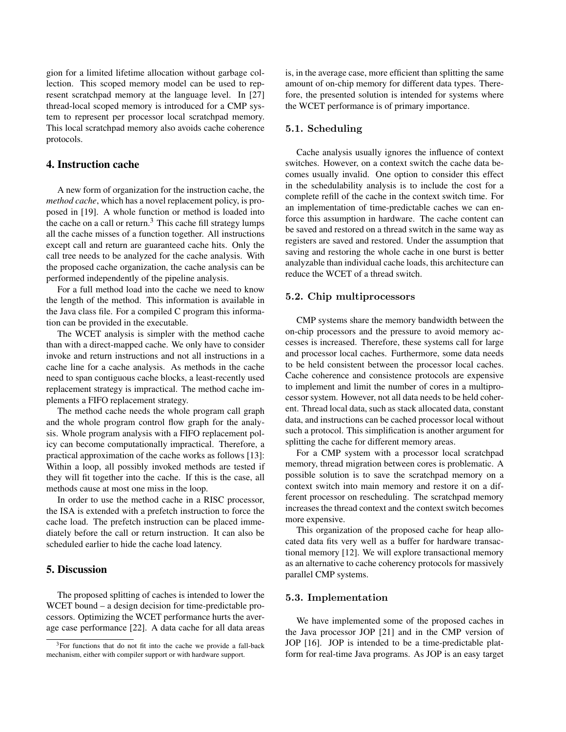gion for a limited lifetime allocation without garbage collection. This scoped memory model can be used to represent scratchpad memory at the language level. In [27] thread-local scoped memory is introduced for a CMP system to represent per processor local scratchpad memory. This local scratchpad memory also avoids cache coherence protocols.

### 4. Instruction cache

A new form of organization for the instruction cache, the *method cache*, which has a novel replacement policy, is proposed in [19]. A whole function or method is loaded into the cache on a call or return. $3$  This cache fill strategy lumps all the cache misses of a function together. All instructions except call and return are guaranteed cache hits. Only the call tree needs to be analyzed for the cache analysis. With the proposed cache organization, the cache analysis can be performed independently of the pipeline analysis.

For a full method load into the cache we need to know the length of the method. This information is available in the Java class file. For a compiled C program this information can be provided in the executable.

The WCET analysis is simpler with the method cache than with a direct-mapped cache. We only have to consider invoke and return instructions and not all instructions in a cache line for a cache analysis. As methods in the cache need to span contiguous cache blocks, a least-recently used replacement strategy is impractical. The method cache implements a FIFO replacement strategy.

The method cache needs the whole program call graph and the whole program control flow graph for the analysis. Whole program analysis with a FIFO replacement policy can become computationally impractical. Therefore, a practical approximation of the cache works as follows [13]: Within a loop, all possibly invoked methods are tested if they will fit together into the cache. If this is the case, all methods cause at most one miss in the loop.

In order to use the method cache in a RISC processor, the ISA is extended with a prefetch instruction to force the cache load. The prefetch instruction can be placed immediately before the call or return instruction. It can also be scheduled earlier to hide the cache load latency.

## 5. Discussion

The proposed splitting of caches is intended to lower the WCET bound – a design decision for time-predictable processors. Optimizing the WCET performance hurts the average case performance [22]. A data cache for all data areas is, in the average case, more efficient than splitting the same amount of on-chip memory for different data types. Therefore, the presented solution is intended for systems where the WCET performance is of primary importance.

#### 5.1. Scheduling

Cache analysis usually ignores the influence of context switches. However, on a context switch the cache data becomes usually invalid. One option to consider this effect in the schedulability analysis is to include the cost for a complete refill of the cache in the context switch time. For an implementation of time-predictable caches we can enforce this assumption in hardware. The cache content can be saved and restored on a thread switch in the same way as registers are saved and restored. Under the assumption that saving and restoring the whole cache in one burst is better analyzable than individual cache loads, this architecture can reduce the WCET of a thread switch.

#### 5.2. Chip multiprocessors

CMP systems share the memory bandwidth between the on-chip processors and the pressure to avoid memory accesses is increased. Therefore, these systems call for large and processor local caches. Furthermore, some data needs to be held consistent between the processor local caches. Cache coherence and consistence protocols are expensive to implement and limit the number of cores in a multiprocessor system. However, not all data needs to be held coherent. Thread local data, such as stack allocated data, constant data, and instructions can be cached processor local without such a protocol. This simplification is another argument for splitting the cache for different memory areas.

For a CMP system with a processor local scratchpad memory, thread migration between cores is problematic. A possible solution is to save the scratchpad memory on a context switch into main memory and restore it on a different processor on rescheduling. The scratchpad memory increases the thread context and the context switch becomes more expensive.

This organization of the proposed cache for heap allocated data fits very well as a buffer for hardware transactional memory [12]. We will explore transactional memory as an alternative to cache coherency protocols for massively parallel CMP systems.

#### 5.3. Implementation

We have implemented some of the proposed caches in the Java processor JOP [21] and in the CMP version of JOP [16]. JOP is intended to be a time-predictable platform for real-time Java programs. As JOP is an easy target

<sup>&</sup>lt;sup>3</sup>For functions that do not fit into the cache we provide a fall-back mechanism, either with compiler support or with hardware support.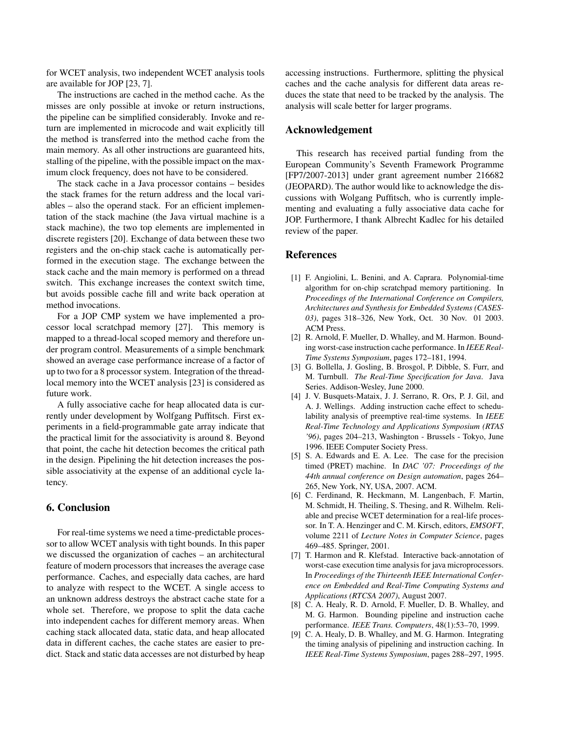for WCET analysis, two independent WCET analysis tools are available for JOP [23, 7].

The instructions are cached in the method cache. As the misses are only possible at invoke or return instructions, the pipeline can be simplified considerably. Invoke and return are implemented in microcode and wait explicitly till the method is transferred into the method cache from the main memory. As all other instructions are guaranteed hits, stalling of the pipeline, with the possible impact on the maximum clock frequency, does not have to be considered.

The stack cache in a Java processor contains – besides the stack frames for the return address and the local variables – also the operand stack. For an efficient implementation of the stack machine (the Java virtual machine is a stack machine), the two top elements are implemented in discrete registers [20]. Exchange of data between these two registers and the on-chip stack cache is automatically performed in the execution stage. The exchange between the stack cache and the main memory is performed on a thread switch. This exchange increases the context switch time, but avoids possible cache fill and write back operation at method invocations.

For a JOP CMP system we have implemented a processor local scratchpad memory [27]. This memory is mapped to a thread-local scoped memory and therefore under program control. Measurements of a simple benchmark showed an average case performance increase of a factor of up to two for a 8 processor system. Integration of the threadlocal memory into the WCET analysis [23] is considered as future work.

A fully associative cache for heap allocated data is currently under development by Wolfgang Puffitsch. First experiments in a field-programmable gate array indicate that the practical limit for the associativity is around 8. Beyond that point, the cache hit detection becomes the critical path in the design. Pipelining the hit detection increases the possible associativity at the expense of an additional cycle latency.

## 6. Conclusion

For real-time systems we need a time-predictable processor to allow WCET analysis with tight bounds. In this paper we discussed the organization of caches – an architectural feature of modern processors that increases the average case performance. Caches, and especially data caches, are hard to analyze with respect to the WCET. A single access to an unknown address destroys the abstract cache state for a whole set. Therefore, we propose to split the data cache into independent caches for different memory areas. When caching stack allocated data, static data, and heap allocated data in different caches, the cache states are easier to predict. Stack and static data accesses are not disturbed by heap accessing instructions. Furthermore, splitting the physical caches and the cache analysis for different data areas reduces the state that need to be tracked by the analysis. The analysis will scale better for larger programs.

## Acknowledgement

This research has received partial funding from the European Community's Seventh Framework Programme [FP7/2007-2013] under grant agreement number 216682 (JEOPARD). The author would like to acknowledge the discussions with Wolgang Puffitsch, who is currently implementing and evaluating a fully associative data cache for JOP. Furthermore, I thank Albrecht Kadlec for his detailed review of the paper.

#### References

- [1] F. Angiolini, L. Benini, and A. Caprara. Polynomial-time algorithm for on-chip scratchpad memory partitioning. In *Proceedings of the International Conference on Compilers, Architectures and Synthesis for Embedded Systems (CASES-03)*, pages 318–326, New York, Oct. 30 Nov. 01 2003. ACM Press.
- [2] R. Arnold, F. Mueller, D. Whalley, and M. Harmon. Bounding worst-case instruction cache performance. In *IEEE Real-Time Systems Symposium*, pages 172–181, 1994.
- [3] G. Bollella, J. Gosling, B. Brosgol, P. Dibble, S. Furr, and M. Turnbull. *The Real-Time Specification for Java*. Java Series. Addison-Wesley, June 2000.
- [4] J. V. Busquets-Mataix, J. J. Serrano, R. Ors, P. J. Gil, and A. J. Wellings. Adding instruction cache effect to schedulability analysis of preemptive real-time systems. In *IEEE Real-Time Technology and Applications Symposium (RTAS '96)*, pages 204–213, Washington - Brussels - Tokyo, June 1996. IEEE Computer Society Press.
- [5] S. A. Edwards and E. A. Lee. The case for the precision timed (PRET) machine. In *DAC '07: Proceedings of the 44th annual conference on Design automation*, pages 264– 265, New York, NY, USA, 2007. ACM.
- [6] C. Ferdinand, R. Heckmann, M. Langenbach, F. Martin, M. Schmidt, H. Theiling, S. Thesing, and R. Wilhelm. Reliable and precise WCET determination for a real-life processor. In T. A. Henzinger and C. M. Kirsch, editors, *EMSOFT*, volume 2211 of *Lecture Notes in Computer Science*, pages 469–485. Springer, 2001.
- [7] T. Harmon and R. Klefstad. Interactive back-annotation of worst-case execution time analysis for java microprocessors. In *Proceedings of the Thirteenth IEEE International Conference on Embedded and Real-Time Computing Systems and Applications (RTCSA 2007)*, August 2007.
- [8] C. A. Healy, R. D. Arnold, F. Mueller, D. B. Whalley, and M. G. Harmon. Bounding pipeline and instruction cache performance. *IEEE Trans. Computers*, 48(1):53–70, 1999.
- [9] C. A. Healy, D. B. Whalley, and M. G. Harmon. Integrating the timing analysis of pipelining and instruction caching. In *IEEE Real-Time Systems Symposium*, pages 288–297, 1995.